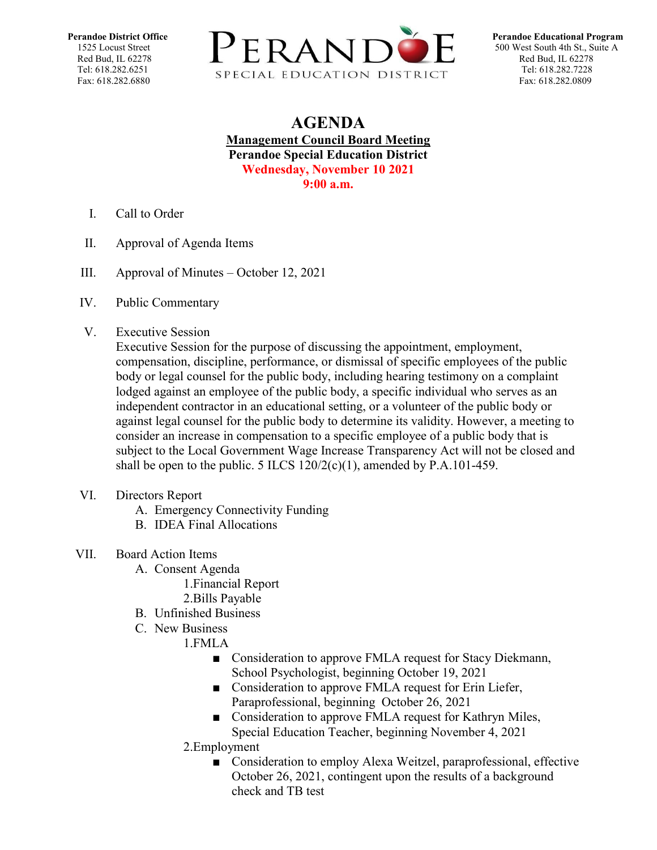

## **AGENDA Management Council Board Meeting Perandoe Special Education District Wednesday, November 10 2021 9:00 a.m.**

- I. Call to Order
- II. Approval of Agenda Items
- III. Approval of Minutes October 12, 2021
- IV. Public Commentary
- V. Executive Session

Executive Session for the purpose of discussing the appointment, employment, compensation, discipline, performance, or dismissal of specific employees of the public body or legal counsel for the public body, including hearing testimony on a complaint lodged against an employee of the public body, a specific individual who serves as an independent contractor in an educational setting, or a volunteer of the public body or against legal counsel for the public body to determine its validity. However, a meeting to consider an increase in compensation to a specific employee of a public body that is subject to the Local Government Wage Increase Transparency Act will not be closed and shall be open to the public. 5 ILCS  $120/2(c)(1)$ , amended by P.A.101-459.

- VI. Directors Report
	- A. Emergency Connectivity Funding
	- B. IDEA Final Allocations
- VII. Board Action Items
	- A. Consent Agenda
		- 1.Financial Report
		- 2.Bills Payable
	- B. Unfinished Business
	- C. New Business
		- 1.FMLA
			- Consideration to approve FMLA request for Stacy Diekmann, School Psychologist, beginning October 19, 2021
			- Consideration to approve FMLA request for Erin Liefer, Paraprofessional, beginning October 26, 2021
			- Consideration to approve FMLA request for Kathryn Miles, Special Education Teacher, beginning November 4, 2021
		- 2.Employment
			- Consideration to employ Alexa Weitzel, paraprofessional, effective October 26, 2021, contingent upon the results of a background check and TB test